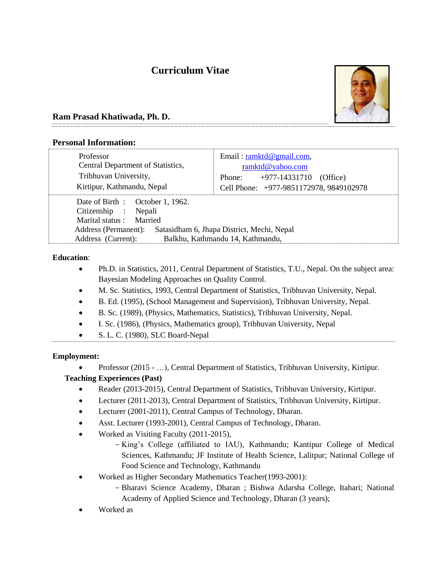# **Curriculum Vitae**



# **Ram Prasad Khatiwada, Ph. D.**

## **Personal Information:**

| Professor<br>Central Department of Statistics,<br>Tribhuvan University,<br>Kirtipur, Kathmandu, Nepal                                                                                                                  | Email: ramktd@gmail.com,<br>ramktd@yahoo.com<br>+977-14331710<br>Phone:<br>(Office)<br>Cell Phone: +977-9851172978, 9849102978 |
|------------------------------------------------------------------------------------------------------------------------------------------------------------------------------------------------------------------------|--------------------------------------------------------------------------------------------------------------------------------|
| Date of Birth : October 1, 1962.<br>Citizenship :<br>Nepali<br>Marital status: Married<br>Satasidham 6, Jhapa District, Mechi, Nepal<br>Address (Permanent):<br>Balkhu, Kathmandu 14, Kathmandu,<br>Address (Current): |                                                                                                                                |

## **Education**:

- Ph.D. in Statistics, 2011, Central Department of Statistics, T.U., Nepal. On the subject area: Bayesian Modeling Approaches on Quality Control.
- M. Sc. Statistics, 1993, Central Department of Statistics, Tribhuvan University, Nepal.
- B. Ed. (1995), (School Management and Supervision), Tribhuvan University, Nepal.
- B. Sc. (1989), (Physics, Mathematics, Statistics), Tribhuvan University, Nepal.
- I. Sc. (1986), (Physics, Mathematics group), Tribhuvan University, Nepal
- S. L. C. (1980), SLC Board-Nepal

## **Employment:**

Professor (2015 - …), Central Department of Statistics, Tribhuvan University, Kirtipur.

## **Teaching Experiences (Past)**

- Reader (2013-2015), Central Department of Statistics, Tribhuvan University, Kirtipur.
- Lecturer (2011-2013), Central Department of Statistics, Tribhuvan University, Kirtipur.
- Lecturer (2001-2011), Central Campus of Technology, Dharan.
- Asst. Lecturer (1993-2001), Central Campus of Technology, Dharan.
- Worked as Visiting Faculty (2011-2015),
	- King's College (affiliated to IAU), Kathmandu; Kantipur College of Medical Sciences, Kathmandu; JF Institute of Health Science, Lalitpur; National College of Food Science and Technology, Kathmandu
- Worked as Higher Secondary Mathematics Teacher(1993-2001):
	- Bharavi Science Academy, Dharan ; Bishwa Adarsha College, Itahari; National Academy of Applied Science and Technology, Dharan (3 years);
- Worked as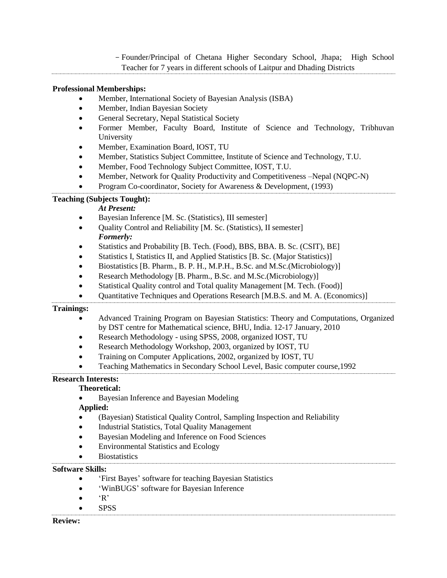- Founder/Principal of Chetana Higher Secondary School, Jhapa; High School Teacher for 7 years in different schools of Laitpur and Dhading Districts

## **Professional Memberships:**

- Member, International Society of Bayesian Analysis (ISBA)
- Member, Indian Bayesian Society
- General Secretary, Nepal Statistical Society
- Former Member, Faculty Board, Institute of Science and Technology, Tribhuvan University
- Member, Examination Board, IOST, TU
- Member, Statistics Subject Committee, Institute of Science and Technology, T.U.
- Member, Food Technology Subject Committee, IOST, T.U.
- Member, Network for Quality Productivity and Competitiveness –Nepal (NQPC-N)
- Program Co-coordinator, Society for Awareness & Development, (1993)

#### **Teaching (Subjects Tought):**

#### *At Present:*

- Bayesian Inference [M. Sc. (Statistics), III semester]
- Quality Control and Reliability [M. Sc. (Statistics), II semester] *Formerly:*
- Statistics and Probability [B. Tech. (Food), BBS, BBA. B. Sc. (CSIT), BE]
- Statistics I, Statistics II, and Applied Statistics [B. Sc. (Major Statistics)]
- Biostatistics [B. Pharm., B. P. H., M.P.H., B.Sc. and M.Sc.(Microbiology)]
- Research Methodology [B. Pharm., B.Sc. and M.Sc.(Microbiology)]
- Statistical Quality control and Total quality Management [M. Tech. (Food)]
- Quantitative Techniques and Operations Research [M.B.S. and M. A. (Economics)]

#### **Trainings:**

- Advanced Training Program on Bayesian Statistics: Theory and Computations, Organized by DST centre for Mathematical science, BHU, India. 12-17 January, 2010
- Research Methodology using SPSS, 2008, organized IOST, TU
- Research Methodology Workshop, 2003, organized by IOST, TU
- Training on Computer Applications, 2002, organized by IOST, TU
- Teaching Mathematics in Secondary School Level, Basic computer course,1992

#### **Research Interests:**

#### **Theoretical:**

Bayesian Inference and Bayesian Modeling

#### **Applied:**

- (Bayesian) Statistical Quality Control, Sampling Inspection and Reliability
- Industrial Statistics, Total Quality Management
- Bayesian Modeling and Inference on Food Sciences
- Environmental Statistics and Ecology
- **Biostatistics**

#### **Software Skills:**

- 'First Bayes' software for teaching Bayesian Statistics
- 'WinBUGS' software for Bayesian Inference
- $\bullet$  'R'
- SPSS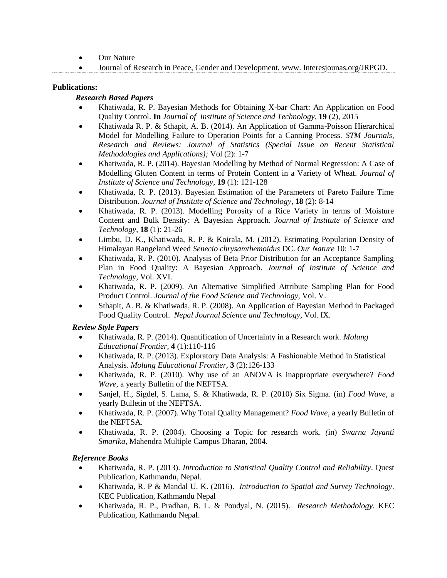- Our Nature
- Journal of Research in Peace, Gender and Development, www. Interesjounas.org/JRPGD.

#### **Publications:**

#### *Research Based Papers*

- Khatiwada, R. P. Bayesian Methods for Obtaining X-bar Chart: An Application on Food Quality Control. **In** *Journal of Institute of Science and Technology*, **19** (2), 2015
- Khatiwada R. P. & Sthapit, A. B. (2014). An Application of Gamma-Poisson Hierarchical Model for Modelling Failure to Operation Points for a Canning Process. *STM Journals, Research and Reviews: Journal of Statistics (Special Issue on Recent Statistical Methodologies and Applications);* Vol (2): 1-7
- Khatiwada, R. P. (2014). Bayesian Modelling by Method of Normal Regression: A Case of Modelling Gluten Content in terms of Protein Content in a Variety of Wheat. *Journal of Institute of Science and Technology*, **19** (1): 121-128
- Khatiwada, R. P. (2013). Bayesian Estimation of the Parameters of Pareto Failure Time Distribution. *Journal of Institute of Science and Technology*, **18** (2): 8-14
- Khatiwada, R. P. (2013). Modelling Porosity of a Rice Variety in terms of Moisture Content and Bulk Density: A Bayesian Approach. *Journal of Institute of Science and Technology*, **18** (1): 21-26
- Limbu, D. K., Khatiwada, R. P. & Koirala, M. (2012). Estimating Population Density of Himalayan Rangeland Weed *Senecio chrysamthemoidus* DC. *Our Nature* 10: 1-7
- Khatiwada, R. P. (2010). Analysis of Beta Prior Distribution for an Acceptance Sampling Plan in Food Quality: A Bayesian Approach. *Journal of Institute of Science and Technology*, Vol. XVI.
- Khatiwada, R. P. (2009). An Alternative Simplified Attribute Sampling Plan for Food Product Control. *Journal of the Food Science and Technology,* Vol. V.
- Sthapit, A. B. & Khatiwada, R. P. (2008). An Application of Bayesian Method in Packaged Food Quality Control. *Nepal Journal Science and Technology,* Vol. IX.

#### *Review Style Papers*

- Khatiwada, R. P. (2014). Quantification of Uncertainty in a Research work. *Molung Educational Frontier,* **4** (1):110-116
- Khatiwada, R. P. (2013). Exploratory Data Analysis: A Fashionable Method in Statistical Analysis. *Molung Educational Frontier,* **3** (2):126-133
- Khatiwada, R. P. (2010). Why use of an ANOVA is inappropriate everywhere? *Food Wave*, a yearly Bulletin of the NEFTSA.
- Sanjel, H., Sigdel, S. Lama, S. & Khatiwada, R. P. (2010) Six Sigma. (in) *Food Wave*, a yearly Bulletin of the NEFTSA.
- Khatiwada, R. P. (2007). Why Total Quality Management? *Food Wave,* a yearly Bulletin of the NEFTSA.
- Khatiwada, R. P. (2004). Choosing a Topic for research work. *(*in) *Swarna Jayanti Smarika,* Mahendra Multiple Campus Dharan, 2004.

#### *Reference Books*

- Khatiwada, R. P. (2013). *Introduction to Statistical Quality Control and Reliability*. Quest Publication, Kathmandu, Nepal.
- Khatiwada, R. P & Mandal U. K. (2016). *Introduction to Spatial and Survey Technology*. KEC Publication, Kathmandu Nepal
- Khatiwada, R. P., Pradhan, B. L. & Poudyal, N. (2015). *Research Methodology.* KEC Publication, Kathmandu Nepal.